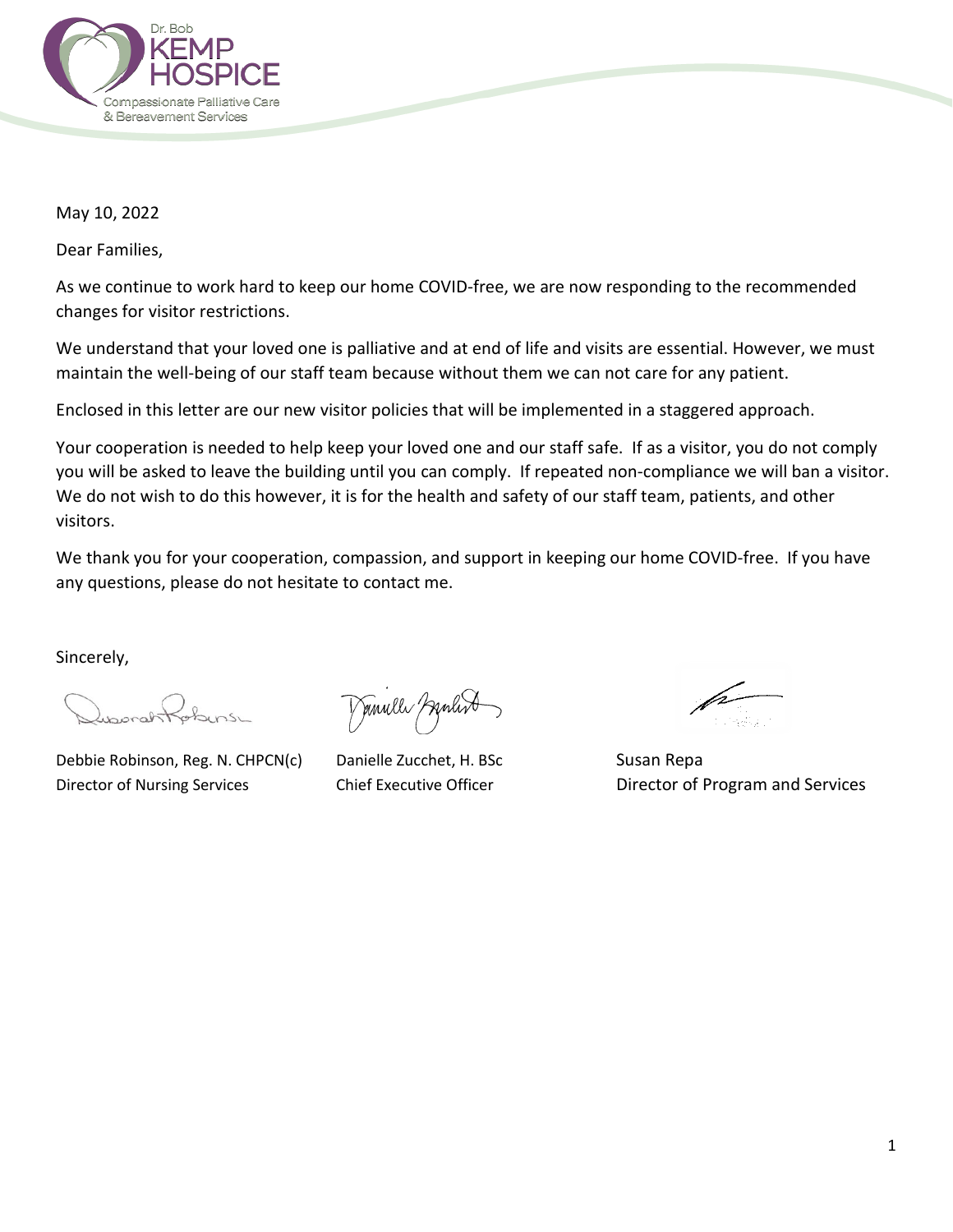

May 10, 2022

Dear Families,

As we continue to work hard to keep our home COVID-free, we are now responding to the recommended changes for visitor restrictions.

We understand that your loved one is palliative and at end of life and visits are essential. However, we must maintain the well-being of our staff team because without them we can not care for any patient.

Enclosed in this letter are our new visitor policies that will be implemented in a staggered approach.

Your cooperation is needed to help keep your loved one and our staff safe. If as a visitor, you do not comply you will be asked to leave the building until you can comply. If repeated non-compliance we will ban a visitor. We do not wish to do this however, it is for the health and safety of our staff team, patients, and other visitors.

We thank you for your cooperation, compassion, and support in keeping our home COVID-free. If you have any questions, please do not hesitate to contact me.

Sincerely,

Debbie Robinson, Reg. N. CHPCN(c) Danielle Zucchet, H. BSc Susan Repa

Demulle Grand

i ng Alba

Director of Nursing Services **Chief Executive Officer** Director of Program and Services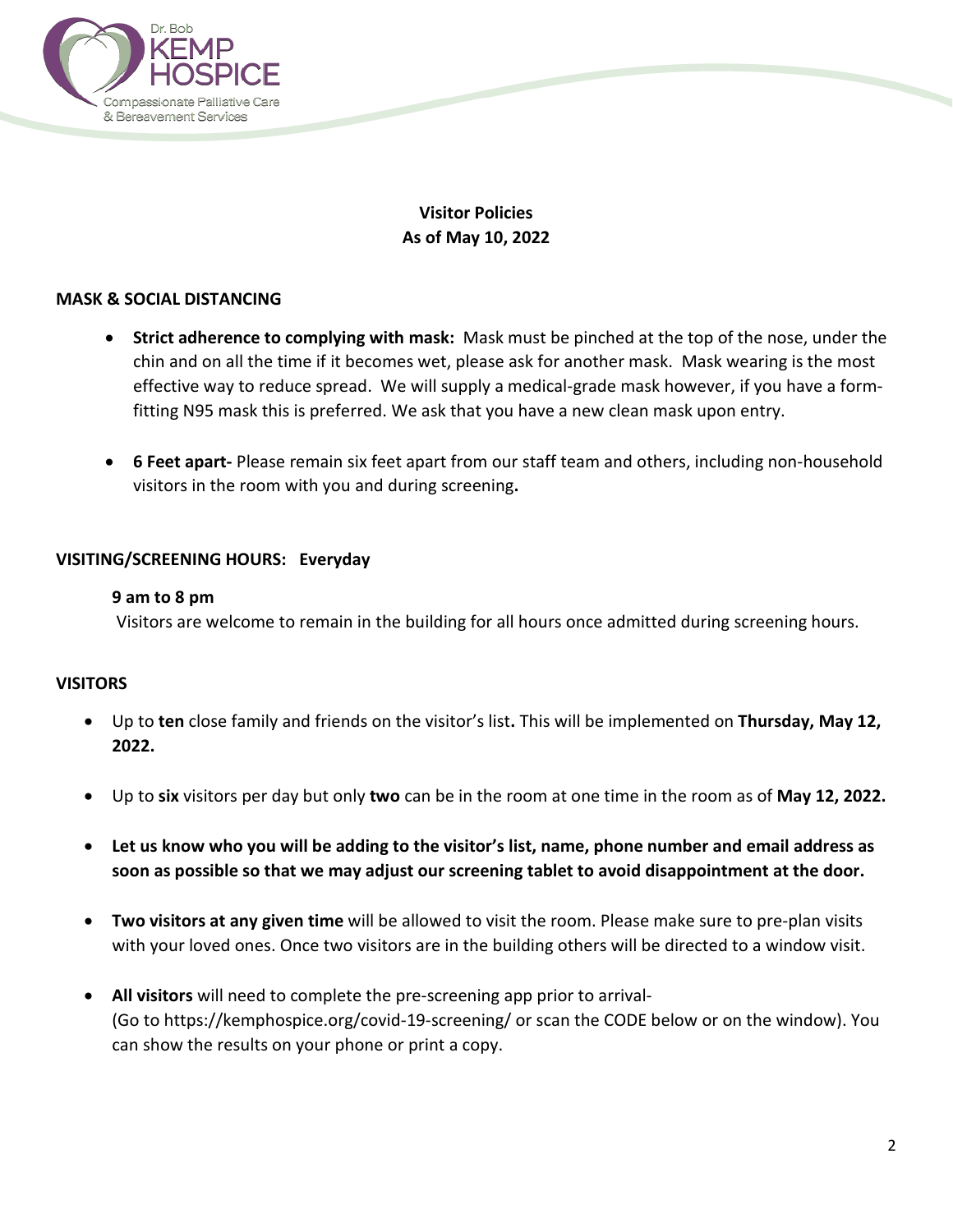

# **Visitor Policies As of May 10, 2022**

## **MASK & SOCIAL DISTANCING**

- **Strict adherence to complying with mask:** Mask must be pinched at the top of the nose, under the chin and on all the time if it becomes wet, please ask for another mask. Mask wearing is the most effective way to reduce spread. We will supply a medical-grade mask however, if you have a formfitting N95 mask this is preferred. We ask that you have a new clean mask upon entry.
- **6 Feet apart-** Please remain six feet apart from our staff team and others, including non-household visitors in the room with you and during screening**.**

### **VISITING/SCREENING HOURS: Everyday**

#### **9 am to 8 pm**

Visitors are welcome to remain in the building for all hours once admitted during screening hours.

### **VISITORS**

- Up to **ten** close family and friends on the visitor's list**.** This will be implemented on **Thursday, May 12, 2022.**
- Up to **six** visitors per day but only **two** can be in the room at one time in the room as of **May 12, 2022.**
- **Let us know who you will be adding to the visitor's list, name, phone number and email address as soon as possible so that we may adjust our screening tablet to avoid disappointment at the door.**
- **Two visitors at any given time** will be allowed to visit the room. Please make sure to pre-plan visits with your loved ones. Once two visitors are in the building others will be directed to a window visit.
- **All visitors** will need to complete the pre-screening app prior to arrival- (Go to https://kemphospice.org/covid-19-screening/ or scan the CODE below or on the window). You can show the results on your phone or print a copy.